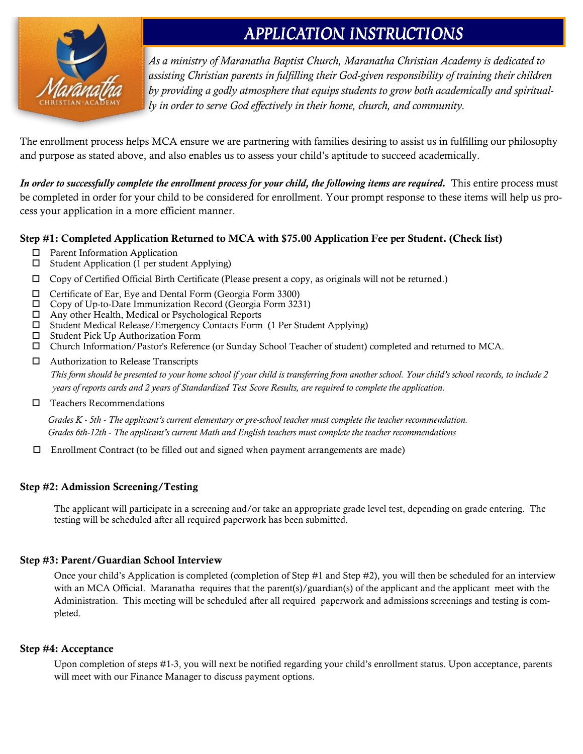

### APPLICATION INSTRUCTIONS

*As a ministry of Maranatha Baptist Church, Maranatha Christian Academy is dedicated to assisting Christian parents in fulfilling their God-given responsibility of training their children by providing a godly atmosphere that equips students to grow both academically and spiritually in order to serve God effectively in their home, church, and community.*

The enrollment process helps MCA ensure we are partnering with families desiring to assist us in fulfilling our philosophy and purpose as stated above, and also enables us to assess your child's aptitude to succeed academically.

*In order to successfully complete the enrollment process for your child, the following items are required.* This entire process must be completed in order for your child to be considered for enrollment. Your prompt response to these items will help us process your application in a more efficient manner.

#### Step #1: Completed Application Returned to MCA with \$75.00 Application Fee per Student. (Check list)

- □ Parent Information Application
- $\square$  Student Application (1 per student Applying)
- $\Box$  Copy of Certified Official Birth Certificate (Please present a copy, as originals will not be returned.)
- Certificate of Ear, Eye and Dental Form (Georgia Form 3300)
- Copy of Up-to-Date Immunization Record (Georgia Form 3231)
- Any other Health, Medical or Psychological Reports
- Student Medical Release/Emergency Contacts Form (1 Per Student Applying)
- $\square$  Student Pick Up Authorization Form
- Church Information/Pastor's Reference (or Sunday School Teacher of student) completed and returned to MCA.
- □ Authorization to Release Transcripts

 *This form should be presented to your home school if your child is transferring from another school. Your child's school records, to include 2 years of reports cards and 2 years of Standardized Test Score Results, are required to complete the application.*

 $\Box$  Teachers Recommendations

*Grades K - 5th - The applicant's current elementary or pre-school teacher must complete the teacher recommendation. Grades 6th-12th - The applicant's current Math and English teachers must complete the teacher recommendations*

Enrollment Contract (to be filled out and signed when payment arrangements are made)

#### Step #2: Admission Screening/Testing

The applicant will participate in a screening and/or take an appropriate grade level test, depending on grade entering. The testing will be scheduled after all required paperwork has been submitted.

#### Step #3: Parent/Guardian School Interview

Once your child's Application is completed (completion of Step #1 and Step #2), you will then be scheduled for an interview with an MCA Official. Maranatha requires that the parent(s)/guardian(s) of the applicant and the applicant meet with the Administration. This meeting will be scheduled after all required paperwork and admissions screenings and testing is completed.

#### Step #4: Acceptance

Upon completion of steps #1-3, you will next be notified regarding your child's enrollment status. Upon acceptance, parents will meet with our Finance Manager to discuss payment options.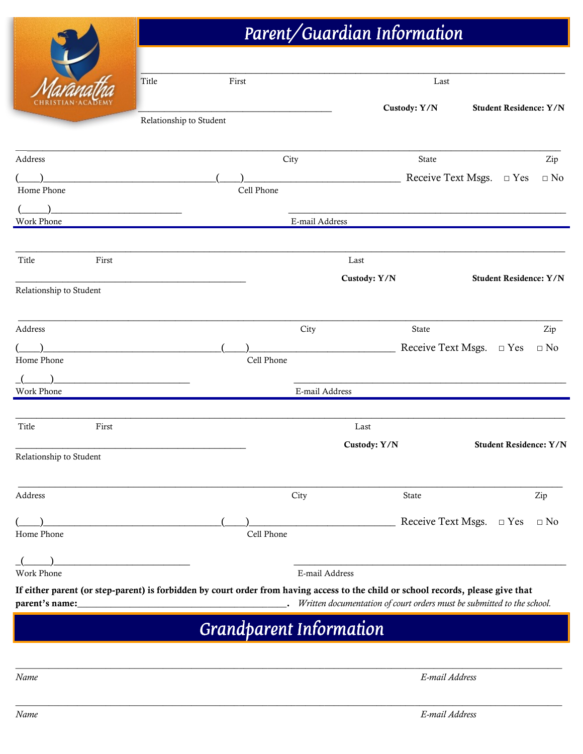# Parent/Guardian Information

| Title                                                                                                                             | First                   |            |                                |              | Last                             |                               |                               |
|-----------------------------------------------------------------------------------------------------------------------------------|-------------------------|------------|--------------------------------|--------------|----------------------------------|-------------------------------|-------------------------------|
|                                                                                                                                   |                         |            |                                |              | Custody: Y/N                     |                               | <b>Student Residence: Y/N</b> |
|                                                                                                                                   | Relationship to Student |            |                                |              |                                  |                               |                               |
| Address                                                                                                                           |                         |            | City                           |              | State                            |                               | Zip                           |
|                                                                                                                                   |                         |            |                                |              | Receive Text Msgs. $\square$ Yes |                               | $\Box$ No                     |
| Home Phone                                                                                                                        |                         | Cell Phone |                                |              |                                  |                               |                               |
|                                                                                                                                   |                         |            |                                |              |                                  |                               |                               |
| Work Phone                                                                                                                        |                         |            | E-mail Address                 |              |                                  |                               |                               |
|                                                                                                                                   |                         |            |                                |              |                                  |                               |                               |
| Title<br>First                                                                                                                    |                         |            |                                | Last         |                                  |                               |                               |
|                                                                                                                                   |                         |            |                                | Custody: Y/N |                                  | <b>Student Residence: Y/N</b> |                               |
| Relationship to Student                                                                                                           |                         |            |                                |              |                                  |                               |                               |
|                                                                                                                                   |                         |            |                                |              |                                  |                               |                               |
| Address                                                                                                                           |                         |            | City                           |              | State                            |                               | Zip                           |
|                                                                                                                                   |                         |            |                                |              | Receive Text Msgs. $\Box$ Yes    |                               | $\Box$ No                     |
| Home Phone                                                                                                                        |                         | Cell Phone |                                |              |                                  |                               |                               |
|                                                                                                                                   |                         |            |                                |              |                                  |                               |                               |
| Work Phone                                                                                                                        |                         |            | E-mail Address                 |              |                                  |                               |                               |
|                                                                                                                                   |                         |            |                                |              |                                  |                               |                               |
| Title<br>First                                                                                                                    |                         |            |                                | Last         |                                  |                               |                               |
|                                                                                                                                   |                         |            |                                | Custody: Y/N |                                  |                               | <b>Student Residence: Y/N</b> |
| Relationship to Student                                                                                                           |                         |            |                                |              |                                  |                               |                               |
|                                                                                                                                   |                         |            |                                |              |                                  |                               |                               |
| Address                                                                                                                           |                         |            | City                           |              | State                            |                               | Zip                           |
|                                                                                                                                   |                         |            |                                |              |                                  |                               |                               |
|                                                                                                                                   |                         |            |                                |              | Receive Text Msgs. $\square$ Yes |                               | $\Box$ No                     |
| Home Phone                                                                                                                        |                         | Cell Phone |                                |              |                                  |                               |                               |
|                                                                                                                                   |                         |            |                                |              |                                  |                               |                               |
| Work Phone                                                                                                                        |                         |            | E-mail Address                 |              |                                  |                               |                               |
| If either parent (or step-parent) is forbidden by court order from having access to the child or school records, please give that |                         |            |                                |              |                                  |                               |                               |
|                                                                                                                                   |                         |            |                                |              |                                  |                               |                               |
|                                                                                                                                   |                         |            |                                |              |                                  |                               |                               |
|                                                                                                                                   |                         |            | <b>Grandparent Information</b> |              |                                  |                               |                               |

*\_\_\_\_\_\_\_\_\_\_\_\_\_\_\_\_\_\_\_\_\_\_\_\_\_\_\_\_\_\_\_\_\_\_\_\_\_\_\_\_\_\_\_\_\_\_\_\_\_\_\_\_\_\_\_\_\_\_\_\_\_\_\_\_\_\_\_\_\_\_\_\_\_\_\_\_\_\_\_\_\_\_\_\_\_\_\_\_\_\_\_\_\_\_\_\_\_\_\_\_\_\_\_\_\_\_\_\_\_\_\_\_\_\_\_*

AS.

*Name E-mail Address*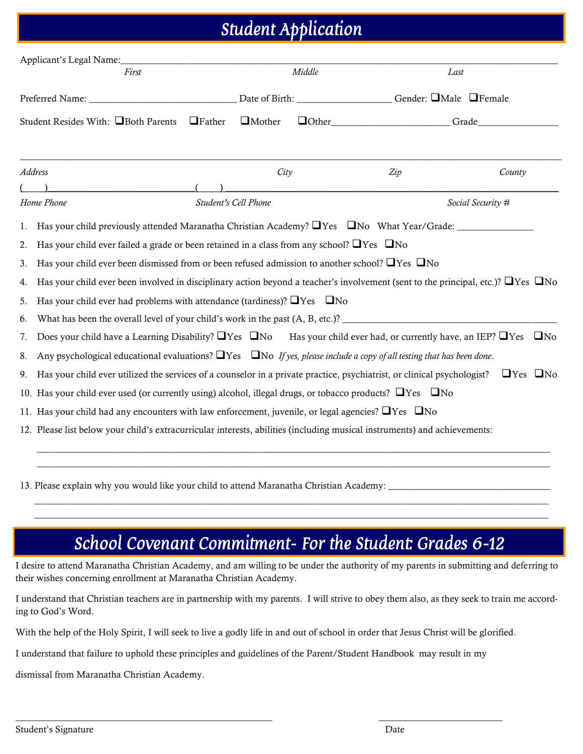## Student Application

| First                                                                                                                                                                                                                                                                                                                                                                                                                                                                                                                                                                                                                                                                                                                                                                                                                                                                                                                                                                                                                                                                                                                                                                                                                                                                                                                                                                                                  |               |                      | Middle |                                               | Last                 |
|--------------------------------------------------------------------------------------------------------------------------------------------------------------------------------------------------------------------------------------------------------------------------------------------------------------------------------------------------------------------------------------------------------------------------------------------------------------------------------------------------------------------------------------------------------------------------------------------------------------------------------------------------------------------------------------------------------------------------------------------------------------------------------------------------------------------------------------------------------------------------------------------------------------------------------------------------------------------------------------------------------------------------------------------------------------------------------------------------------------------------------------------------------------------------------------------------------------------------------------------------------------------------------------------------------------------------------------------------------------------------------------------------------|---------------|----------------------|--------|-----------------------------------------------|----------------------|
|                                                                                                                                                                                                                                                                                                                                                                                                                                                                                                                                                                                                                                                                                                                                                                                                                                                                                                                                                                                                                                                                                                                                                                                                                                                                                                                                                                                                        |               |                      |        |                                               |                      |
| Student Resides With: □Both Parents                                                                                                                                                                                                                                                                                                                                                                                                                                                                                                                                                                                                                                                                                                                                                                                                                                                                                                                                                                                                                                                                                                                                                                                                                                                                                                                                                                    | $\Box$ Father | $\Box$ Mother        |        | $\Box$ Other $\Box$ Other $\Box$ Other $\Box$ |                      |
| <b>Address</b>                                                                                                                                                                                                                                                                                                                                                                                                                                                                                                                                                                                                                                                                                                                                                                                                                                                                                                                                                                                                                                                                                                                                                                                                                                                                                                                                                                                         |               | City                 |        | Zip                                           | County               |
| Home Phone                                                                                                                                                                                                                                                                                                                                                                                                                                                                                                                                                                                                                                                                                                                                                                                                                                                                                                                                                                                                                                                                                                                                                                                                                                                                                                                                                                                             |               | Student's Cell Phone |        |                                               | Social Security #    |
| Has your child previously attended Maranatha Christian Academy? $\Box$ Yes $\Box$ No What Year/Grade:<br>1.<br>Has your child ever failed a grade or been retained in a class from any school? $\Box$ Yes $\Box$ No<br>2.<br>Has your child ever been dismissed from or been refused admission to another school? $\Box$ Yes $\Box$ No<br>3.<br>Has your child ever been involved in disciplinary action beyond a teacher's involvement (sent to the principal, etc.)? $\Box$ Yes $\Box$ No<br>4.<br>Has your child ever had problems with attendance (tardiness)? $\Box$ Yes $\Box$ No<br>5.<br>6.<br>Does your child have a Learning Disability? $\Box$ Yes $\Box$ No Has your child ever had, or currently have, an IEP? $\Box$ Yes $\Box$ No<br>7.<br>Any psychological educational evaluations? $\Box$ Yes $\Box$ No If yes, please include a copy of all testing that has been done.<br>8.<br>Has your child ever utilized the services of a counselor in a private practice, psychiatrist, or clinical psychologist?<br>9.<br>10. Has your child ever used (or currently using) alcohol, illegal drugs, or tobacco products? $\Box$ Yes $\Box$ No<br>11. Has your child had any encounters with law enforcement, juvenile, or legal agencies? $\Box$ Yes $\Box$ No<br>12. Please list below your child's extracurricular interests, abilities (including musical instruments) and achievements: |               |                      |        |                                               | $\Box$ Yes $\Box$ No |

13. Please explain why you would like your child to attend Maranatha Christian Academy:

### School Covenant Commitment– For the Student: Grades 6-12

 $\overline{\phantom{a}}$  , and the set of the set of the set of the set of the set of the set of the set of the set of the set of the set of the set of the set of the set of the set of the set of the set of the set of the set of the s  $\overline{\phantom{a}}$  , and the set of the set of the set of the set of the set of the set of the set of the set of the set of the set of the set of the set of the set of the set of the set of the set of the set of the set of the s

I desire to attend Maranatha Christian Academy, and am willing to be under the authority of my parents in submitting and deferring to their wishes concerning enrollment at Maranatha Christian Academy.

I understand that Christian teachers are in partnership with my parents. I will strive to obey them also, as they seek to train me according to God's Word.

With the help of the Holy Spirit, I will seek to live a godly life in and out of school in order that Jesus Christ will be glorified.

I understand that failure to uphold these principles and guidelines of the Parent/Student Handbook may result in my

 $\_$  , and the set of the set of the set of the set of the set of the set of the set of the set of the set of the set of the set of the set of the set of the set of the set of the set of the set of the set of the set of th

dismissal from Maranatha Christian Academy.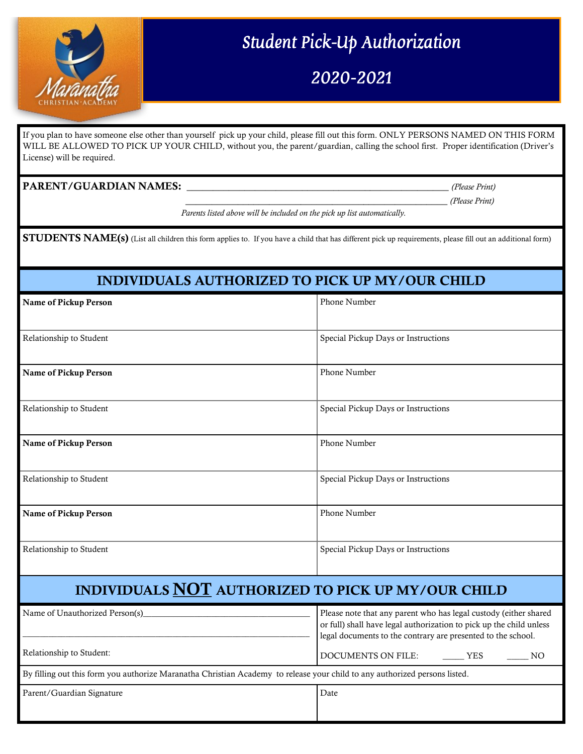

# Student Pick-Up Authorization

2020-2021

If you plan to have someone else other than yourself pick up your child, please fill out this form. ONLY PERSONS NAMED ON THIS FORM WILL BE ALLOWED TO PICK UP YOUR CHILD, without you, the parent/guardian, calling the school first. Proper identification (Driver's License) will be required.

#### PARENT/GUARDIAN NAMES: \_\_\_\_\_\_\_\_\_\_\_\_\_\_\_\_\_\_\_\_\_\_\_\_\_\_\_\_\_\_\_\_\_\_\_\_\_\_\_\_\_\_\_\_\_\_\_\_\_\_ *(Please Print)*

\_\_\_\_\_\_\_\_\_\_\_\_\_\_\_\_\_\_\_\_\_\_\_\_\_\_\_\_\_\_\_\_\_\_\_\_\_\_\_\_\_\_\_\_\_\_\_\_\_\_ *(Please Print)*

 *Parents listed above will be included on the pick up list automatically.*

**STUDENTS NAME(s)** (List all children this form applies to. If you have a child that has different pick up requirements, please fill out an additional form)

#### INDIVIDUALS AUTHORIZED TO PICK UP MY/OUR CHILD

| Name of Pickup Person                              | Phone Number                        |
|----------------------------------------------------|-------------------------------------|
|                                                    |                                     |
| Relationship to Student                            | Special Pickup Days or Instructions |
|                                                    |                                     |
| Name of Pickup Person                              | Phone Number                        |
|                                                    |                                     |
| Relationship to Student                            | Special Pickup Days or Instructions |
|                                                    |                                     |
| Name of Pickup Person                              | Phone Number                        |
|                                                    |                                     |
| Relationship to Student                            | Special Pickup Days or Instructions |
|                                                    |                                     |
| Name of Pickup Person                              | Phone Number                        |
|                                                    |                                     |
| Relationship to Student                            | Special Pickup Days or Instructions |
|                                                    |                                     |
| INDIVIDUALS NOT AUTHORIZED TO PICK UP MY/OUR CHILD |                                     |
|                                                    |                                     |

| Name of Unauthorized Person(s)                                                                                             | Please note that any parent who has legal custody (either shared<br>or full) shall have legal authorization to pick up the child unless<br>legal documents to the contrary are presented to the school. |
|----------------------------------------------------------------------------------------------------------------------------|---------------------------------------------------------------------------------------------------------------------------------------------------------------------------------------------------------|
| Relationship to Student:                                                                                                   | DOCUMENTS ON FILE:<br><b>YES</b><br>NΟ                                                                                                                                                                  |
| By filling out this form you authorize Maranatha Christian Academy to release your child to any authorized persons listed. |                                                                                                                                                                                                         |
| Parent/Guardian Signature                                                                                                  | Date                                                                                                                                                                                                    |
|                                                                                                                            |                                                                                                                                                                                                         |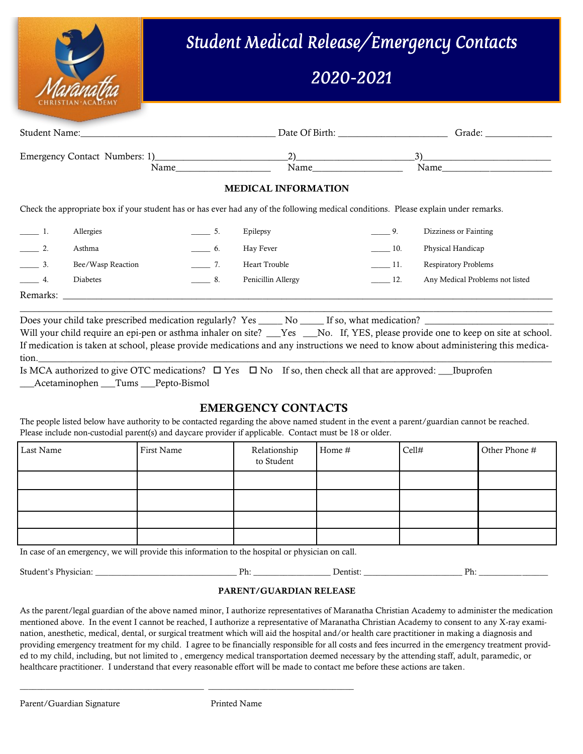

# Student Medical Release/Emergency Contacts

### 2020-2021

| Student Name:                                                                                                                        | Date Of Birth:             | Grade:                |
|--------------------------------------------------------------------------------------------------------------------------------------|----------------------------|-----------------------|
| Emergency Contact Numbers: 1) 2) 2<br>Name                                                                                           | Name                       | Name                  |
|                                                                                                                                      | <b>MEDICAL INFORMATION</b> |                       |
| Check the appropriate box if your student has or has ever had any of the following medical conditions. Please explain under remarks. |                            |                       |
| Allergies                                                                                                                            | Epilepsy                   | Dizziness or Fainting |

|          | Asthma            | Hay Fever          | 10. | Physical Handicap               |
|----------|-------------------|--------------------|-----|---------------------------------|
|          | Bee/Wasp Reaction | Heart Trouble      |     | <b>Respiratory Problems</b>     |
|          | <b>Diabetes</b>   | Penicillin Allergy |     | Any Medical Problems not listed |
| Remarks: |                   |                    |     |                                 |

Does your child take prescribed medication regularly? Yes \_\_\_\_\_\_ No \_\_\_\_\_\_ If so, what medication? \_

Will your child require an epi-pen or asthma inhaler on site? \_\_\_Yes \_\_\_No. If, YES, please provide one to keep on site at school. If medication is taken at school, please provide medications and any instructions we need to know about administering this medication.\_\_\_\_\_\_\_\_\_\_\_\_\_\_\_\_\_\_\_\_\_\_\_\_\_\_\_\_\_\_\_\_\_\_\_\_\_\_\_\_\_\_\_\_\_\_\_\_\_\_\_\_\_\_\_\_\_\_\_\_\_\_\_\_\_\_\_\_\_\_\_\_\_\_\_\_\_\_\_\_\_\_\_\_\_\_\_\_\_\_\_\_\_\_\_\_\_\_\_\_\_\_\_\_\_\_\_\_

 $\_$  , and the set of the set of the set of the set of the set of the set of the set of the set of the set of the set of the set of the set of the set of the set of the set of the set of the set of the set of the set of th

Is MCA authorized to give OTC medications?  $\Box$  Yes  $\Box$  No If so, then check all that are approved: Luprofen Acetaminophen Tums Pepto-Bismol

#### EMERGENCY CONTACTS

The people listed below have authority to be contacted regarding the above named student in the event a parent/guardian cannot be reached. Please include non-custodial parent(s) and daycare provider if applicable. Contact must be 18 or older.

| Last Name | First Name | Relationship<br>to Student | Home # | Cell# | Other Phone # |
|-----------|------------|----------------------------|--------|-------|---------------|
|           |            |                            |        |       |               |
|           |            |                            |        |       |               |
|           |            |                            |        |       |               |
|           |            |                            |        |       |               |

In case of an emergency, we will provide this information to the hospital or physician on call.

\_\_\_\_\_\_\_\_\_\_\_\_\_\_\_\_\_\_\_\_\_\_\_\_\_\_\_\_\_\_\_\_\_\_\_\_\_\_\_\_\_\_\_ \_\_\_\_\_\_\_\_\_\_\_\_\_\_\_\_\_\_\_\_\_\_\_\_\_\_\_\_\_\_\_\_\_\_

| Student <sup>3</sup> | אכ | Jentist | Dh. |
|----------------------|----|---------|-----|
| Physician:           | .  |         | .   |
|                      |    |         |     |

#### PARENT/GUARDIAN RELEASE

As the parent/legal guardian of the above named minor, I authorize representatives of Maranatha Christian Academy to administer the medication mentioned above. In the event I cannot be reached, I authorize a representative of Maranatha Christian Academy to consent to any X-ray examination, anesthetic, medical, dental, or surgical treatment which will aid the hospital and/or health care practitioner in making a diagnosis and providing emergency treatment for my child. I agree to be financially responsible for all costs and fees incurred in the emergency treatment provided to my child, including, but not limited to , emergency medical transportation deemed necessary by the attending staff, adult, paramedic, or healthcare practitioner. I understand that every reasonable effort will be made to contact me before these actions are taken.